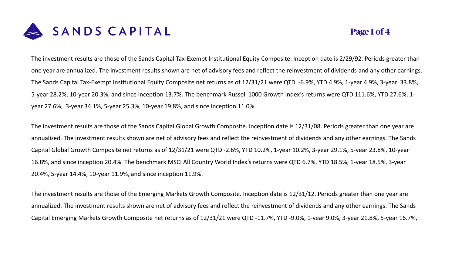

## **Page 1 of 4**

The investment results are those of the Sands Capital Tax-Exempt Institutional Equity Composite. Inception date is 2/29/92. Periods greater than one year are annualized. The investment results shown are net of advisory fees and reflect the reinvestment of dividends and any other earnings. The Sands Capital Tax-Exempt Institutional Equity Composite net returns as of 12/31/21 were QTD -6.9%, YTD 4.9%, 1-year 4.9%, 3-year 33.8%, 5-year 28.2%, 10-year 20.3%, and since inception 13.7%. The benchmark Russell 1000 Growth Index's returns were QTD 111.6%, YTD 27.6%, 1 year 27.6%, 3-year 34.1%, 5-year 25.3%, 10-year 19.8%, and since inception 11.0%.

The investment results are those of the Sands Capital Global Growth Composite. Inception date is 12/31/08. Periods greater than one year are annualized. The investment results shown are net of advisory fees and reflect the reinvestment of dividends and any other earnings. The Sands Capital Global Growth Composite net returns as of 12/31/21 were QTD -2.6%, YTD 10.2%, 1-year 10.2%, 3-year 29.1%, 5-year 23.8%, 10-year 16.8%, and since inception 20.4%. The benchmark MSCI All Country World Index's returns were QTD 6.7%, YTD 18.5%, 1-year 18.5%, 3-year 20.4%, 5-year 14.4%, 10-year 11.9%, and since inception 11.9%.

The investment results are those of the Emerging Markets Growth Composite. Inception date is 12/31/12. Periods greater than one year are annualized. The investment results shown are net of advisory fees and reflect the reinvestment of dividends and any other earnings. The Sands Capital Emerging Markets Growth Composite net returns as of 12/31/21 were QTD -11.7%, YTD -9.0%, 1-year 9.0%, 3-year 21.8%, 5-year 16.7%,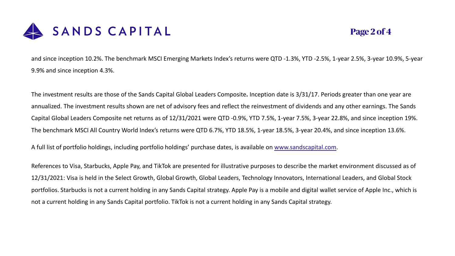

## **Page 2 of 4**

and since inception 10.2%. The benchmark MSCI Emerging Markets Index's returns were QTD -1.3%, YTD -2.5%, 1-year 2.5%, 3-year 10.9%, 5-year 9.9% and since inception 4.3%.

The investment results are those of the Sands Capital Global Leaders Composite**.** Inception date is 3/31/17. Periods greater than one year are annualized. The investment results shown are net of advisory fees and reflect the reinvestment of dividends and any other earnings. The Sands Capital Global Leaders Composite net returns as of 12/31/2021 were QTD -0.9%, YTD 7.5%, 1-year 7.5%, 3-year 22.8%, and since inception 19%. The benchmark MSCI All Country World Index's returns were QTD 6.7%, YTD 18.5%, 1-year 18.5%, 3-year 20.4%, and since inception 13.6%.

A full list of portfolio holdings, including portfolio holdings' purchase dates, is available on [www.sandscapital.com.](http://www.sandscapital.com/)

References to Visa, Starbucks, Apple Pay, and TikTok are presented for illustrative purposes to describe the market environment discussed as of 12/31/2021: Visa is held in the Select Growth, Global Growth, Global Leaders, Technology Innovators, International Leaders, and Global Stock portfolios. Starbucks is not a current holding in any Sands Capital strategy. Apple Pay is a mobile and digital wallet service of Apple Inc., which is not a current holding in any Sands Capital portfolio. TikTok is not a current holding in any Sands Capital strategy.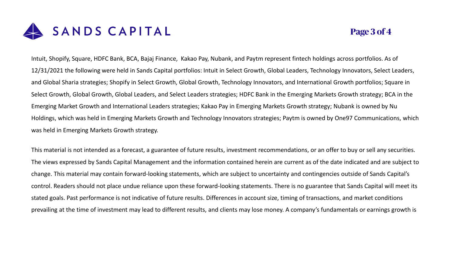

## **Page 3 of 4**

Intuit, Shopify, Square, HDFC Bank, BCA, Bajaj Finance, Kakao Pay, Nubank, and Paytm represent fintech holdings across portfolios. As of 12/31/2021 the following were held in Sands Capital portfolios: Intuit in Select Growth, Global Leaders, Technology Innovators, Select Leaders, and Global Sharia strategies; Shopify in Select Growth, Global Growth, Technology Innovators, and International Growth portfolios; Square in Select Growth, Global Growth, Global Leaders, and Select Leaders strategies; HDFC Bank in the Emerging Markets Growth strategy; BCA in the Emerging Market Growth and International Leaders strategies; Kakao Pay in Emerging Markets Growth strategy; Nubank is owned by Nu Holdings, which was held in Emerging Markets Growth and Technology Innovators strategies; Paytm is owned by One97 Communications, which was held in Emerging Markets Growth strategy.

This material is not intended as a forecast, a guarantee of future results, investment recommendations, or an offer to buy or sell any securities. The views expressed by Sands Capital Management and the information contained herein are current as of the date indicated and are subject to change. This material may contain forward-looking statements, which are subject to uncertainty and contingencies outside of Sands Capital's control. Readers should not place undue reliance upon these forward-looking statements. There is no guarantee that Sands Capital will meet its stated goals. Past performance is not indicative of future results. Differences in account size, timing of transactions, and market conditions prevailing at the time of investment may lead to different results, and clients may lose money. A company's fundamentals or earnings growth is